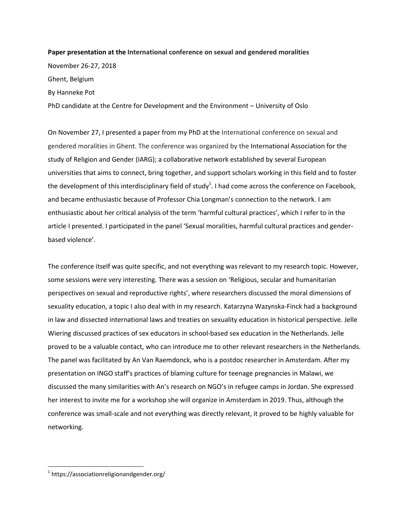## **Paper presentation at the International conference on sexual and gendered moralities**

November 26-27, 2018 Ghent, Belgium By Hanneke Pot PhD candidate at the Centre for Development and the Environment – University of Oslo

On November 27, I presented a paper from my PhD at the International conference on sexual and gendered moralities in Ghent. The conference was organized by the International Association for the study of Religion and Gender (IARG); a collaborative network established by several European universities that aims to connect, bring together, and support scholars working in this field and to foster the development of this interdisciplinary field of study<sup>1</sup>. I had come across the conference on Facebook, and became enthusiastic because of Professor Chia Longman's connection to the network. I am enthusiastic about her critical analysis of the term 'harmful cultural practices', which I refer to in the article I presented. I participated in the panel 'Sexual moralities, harmful cultural practices and genderbased violence'.

The conference itself was quite specific, and not everything was relevant to my research topic. However, some sessions were very interesting. There was a session on 'Religious, secular and humanitarian perspectives on sexual and reproductive rights', where researchers discussed the moral dimensions of sexuality education, a topic I also deal with in my research. Katarzyna Wazynska-Finck had a background in law and dissected international laws and treaties on sexuality education in historical perspective. Jelle Wiering discussed practices of sex educators in school-based sex education in the Netherlands. Jelle proved to be a valuable contact, who can introduce me to other relevant researchers in the Netherlands. The panel was facilitated by An Van Raemdonck, who is a postdoc researcher in Amsterdam. After my presentation on INGO staff's practices of blaming culture for teenage pregnancies in Malawi, we discussed the many similarities with An's research on NGO's in refugee camps in Jordan. She expressed her interest to invite me for a workshop she will organize in Amsterdam in 2019. Thus, although the conference was small-scale and not everything was directly relevant, it proved to be highly valuable for networking.

 $\overline{a}$ 

<sup>&</sup>lt;sup>1</sup> https://associationreligionandgender.org/